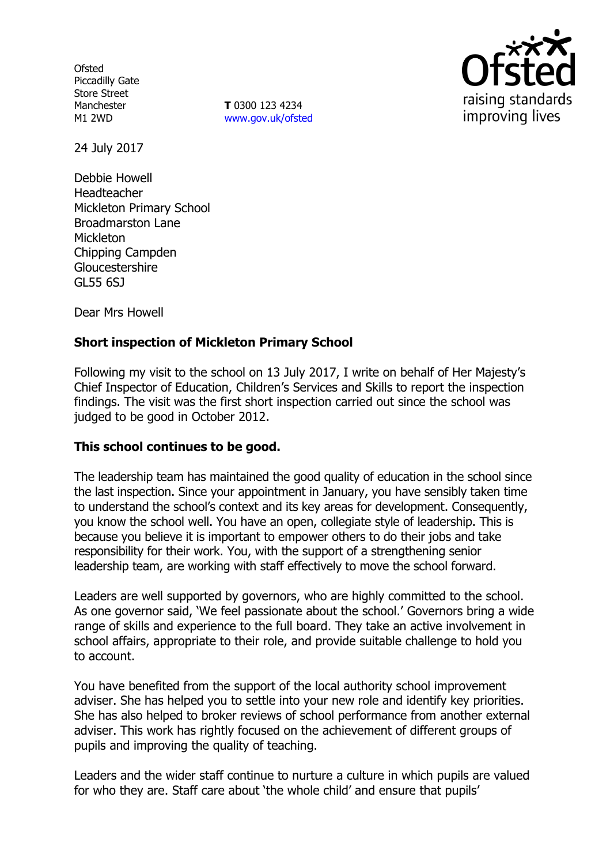**Ofsted** Piccadilly Gate Store Street Manchester M1 2WD

**T** 0300 123 4234 www.gov.uk/ofsted



24 July 2017

Debbie Howell Headteacher Mickleton Primary School Broadmarston Lane Mickleton Chipping Campden Gloucestershire GL55 6SJ

Dear Mrs Howell

## **Short inspection of Mickleton Primary School**

Following my visit to the school on 13 July 2017, I write on behalf of Her Majesty's Chief Inspector of Education, Children's Services and Skills to report the inspection findings. The visit was the first short inspection carried out since the school was judged to be good in October 2012.

## **This school continues to be good.**

The leadership team has maintained the good quality of education in the school since the last inspection. Since your appointment in January, you have sensibly taken time to understand the school's context and its key areas for development. Consequently, you know the school well. You have an open, collegiate style of leadership. This is because you believe it is important to empower others to do their jobs and take responsibility for their work. You, with the support of a strengthening senior leadership team, are working with staff effectively to move the school forward.

Leaders are well supported by governors, who are highly committed to the school. As one governor said, 'We feel passionate about the school.' Governors bring a wide range of skills and experience to the full board. They take an active involvement in school affairs, appropriate to their role, and provide suitable challenge to hold you to account.

You have benefited from the support of the local authority school improvement adviser. She has helped you to settle into your new role and identify key priorities. She has also helped to broker reviews of school performance from another external adviser. This work has rightly focused on the achievement of different groups of pupils and improving the quality of teaching.

Leaders and the wider staff continue to nurture a culture in which pupils are valued for who they are. Staff care about 'the whole child' and ensure that pupils'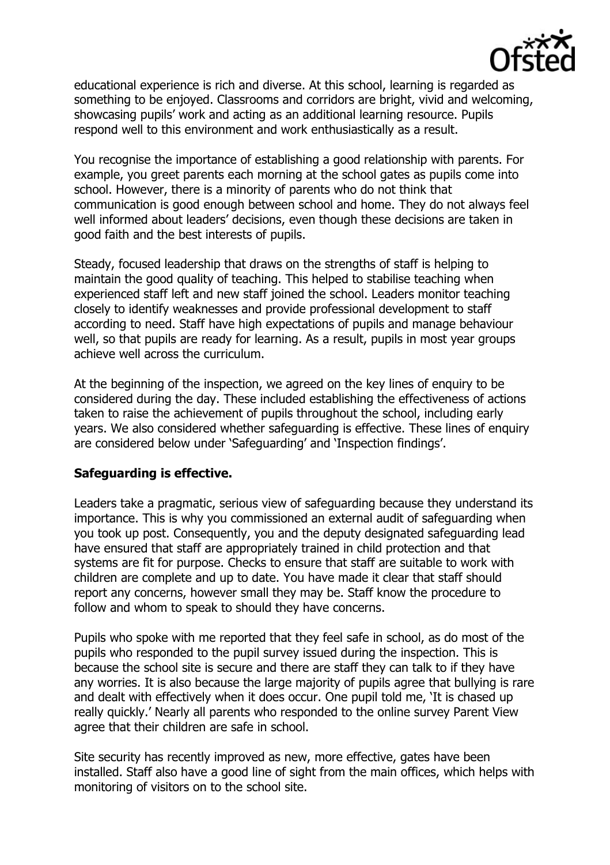

educational experience is rich and diverse. At this school, learning is regarded as something to be enjoyed. Classrooms and corridors are bright, vivid and welcoming, showcasing pupils' work and acting as an additional learning resource. Pupils respond well to this environment and work enthusiastically as a result.

You recognise the importance of establishing a good relationship with parents. For example, you greet parents each morning at the school gates as pupils come into school. However, there is a minority of parents who do not think that communication is good enough between school and home. They do not always feel well informed about leaders' decisions, even though these decisions are taken in good faith and the best interests of pupils.

Steady, focused leadership that draws on the strengths of staff is helping to maintain the good quality of teaching. This helped to stabilise teaching when experienced staff left and new staff joined the school. Leaders monitor teaching closely to identify weaknesses and provide professional development to staff according to need. Staff have high expectations of pupils and manage behaviour well, so that pupils are ready for learning. As a result, pupils in most year groups achieve well across the curriculum.

At the beginning of the inspection, we agreed on the key lines of enquiry to be considered during the day. These included establishing the effectiveness of actions taken to raise the achievement of pupils throughout the school, including early years. We also considered whether safeguarding is effective. These lines of enquiry are considered below under 'Safeguarding' and 'Inspection findings'.

## **Safeguarding is effective.**

Leaders take a pragmatic, serious view of safeguarding because they understand its importance. This is why you commissioned an external audit of safeguarding when you took up post. Consequently, you and the deputy designated safeguarding lead have ensured that staff are appropriately trained in child protection and that systems are fit for purpose. Checks to ensure that staff are suitable to work with children are complete and up to date. You have made it clear that staff should report any concerns, however small they may be. Staff know the procedure to follow and whom to speak to should they have concerns.

Pupils who spoke with me reported that they feel safe in school, as do most of the pupils who responded to the pupil survey issued during the inspection. This is because the school site is secure and there are staff they can talk to if they have any worries. It is also because the large majority of pupils agree that bullying is rare and dealt with effectively when it does occur. One pupil told me, 'It is chased up really quickly.' Nearly all parents who responded to the online survey Parent View agree that their children are safe in school.

Site security has recently improved as new, more effective, gates have been installed. Staff also have a good line of sight from the main offices, which helps with monitoring of visitors on to the school site.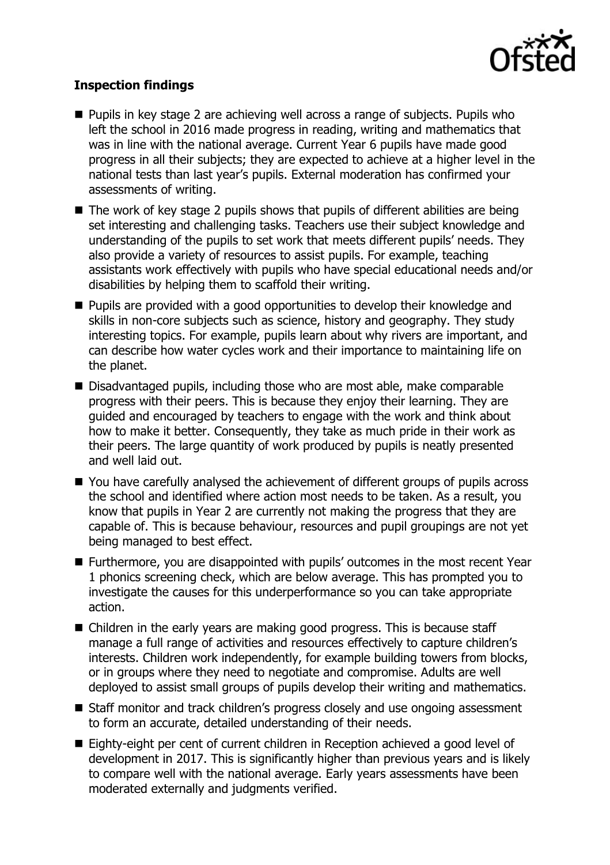

# **Inspection findings**

- Pupils in key stage 2 are achieving well across a range of subiects. Pupils who left the school in 2016 made progress in reading, writing and mathematics that was in line with the national average. Current Year 6 pupils have made good progress in all their subjects; they are expected to achieve at a higher level in the national tests than last year's pupils. External moderation has confirmed your assessments of writing.
- $\blacksquare$  The work of key stage 2 pupils shows that pupils of different abilities are being set interesting and challenging tasks. Teachers use their subject knowledge and understanding of the pupils to set work that meets different pupils' needs. They also provide a variety of resources to assist pupils. For example, teaching assistants work effectively with pupils who have special educational needs and/or disabilities by helping them to scaffold their writing.
- **Pupils are provided with a good opportunities to develop their knowledge and** skills in non-core subjects such as science, history and geography. They study interesting topics. For example, pupils learn about why rivers are important, and can describe how water cycles work and their importance to maintaining life on the planet.
- Disadvantaged pupils, including those who are most able, make comparable progress with their peers. This is because they enjoy their learning. They are guided and encouraged by teachers to engage with the work and think about how to make it better. Consequently, they take as much pride in their work as their peers. The large quantity of work produced by pupils is neatly presented and well laid out.
- You have carefully analysed the achievement of different groups of pupils across the school and identified where action most needs to be taken. As a result, you know that pupils in Year 2 are currently not making the progress that they are capable of. This is because behaviour, resources and pupil groupings are not yet being managed to best effect.
- Furthermore, you are disappointed with pupils' outcomes in the most recent Year 1 phonics screening check, which are below average. This has prompted you to investigate the causes for this underperformance so you can take appropriate action.
- Children in the early years are making good progress. This is because staff manage a full range of activities and resources effectively to capture children's interests. Children work independently, for example building towers from blocks, or in groups where they need to negotiate and compromise. Adults are well deployed to assist small groups of pupils develop their writing and mathematics.
- Staff monitor and track children's progress closely and use ongoing assessment to form an accurate, detailed understanding of their needs.
- Eighty-eight per cent of current children in Reception achieved a good level of development in 2017. This is significantly higher than previous years and is likely to compare well with the national average. Early years assessments have been moderated externally and judgments verified.